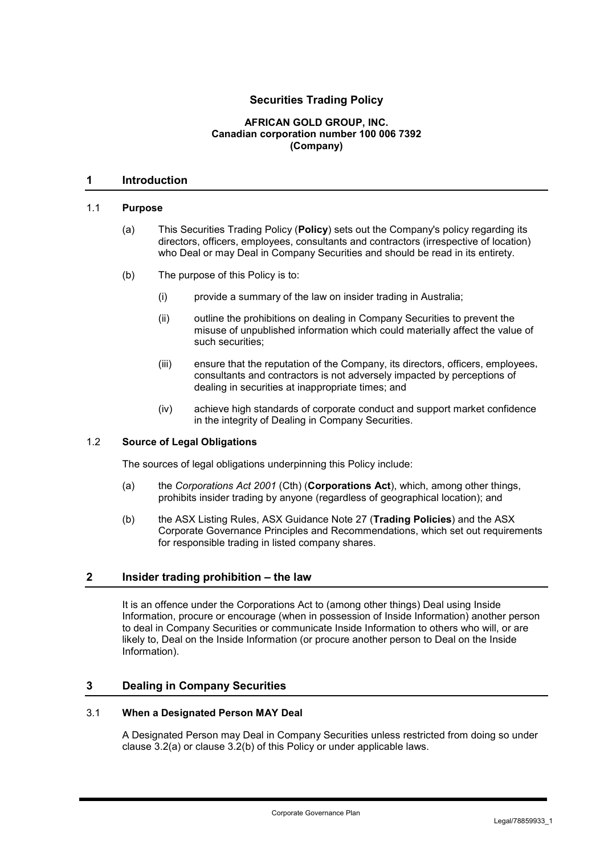# **Securities Trading Policy**

#### **AFRICAN GOLD GROUP, INC. Canadian corporation number 100 006 7392 (Company)**

#### **1 Introduction**

#### 1.1 **Purpose**

- (a) This Securities Trading Policy (**Policy**) sets out the Company's policy regarding its directors, officers, employees, consultants and contractors (irrespective of location) who Deal or may Deal in Company Securities and should be read in its entirety.
- (b) The purpose of this Policy is to:
	- (i) provide a summary of the law on insider trading in Australia;
	- (ii) outline the prohibitions on dealing in Company Securities to prevent the misuse of unpublished information which could materially affect the value of such securities:
	- (iii) ensure that the reputation of the Company, its directors, officers, employees, consultants and contractors is not adversely impacted by perceptions of dealing in securities at inappropriate times; and
	- (iv) achieve high standards of corporate conduct and support market confidence in the integrity of Dealing in Company Securities.

## 1.2 **Source of Legal Obligations**

The sources of legal obligations underpinning this Policy include:

- (a) the *Corporations Act 2001* (Cth) (**Corporations Act**), which, among other things, prohibits insider trading by anyone (regardless of geographical location); and
- (b) the ASX Listing Rules, ASX Guidance Note 27 (**Trading Policies**) and the ASX Corporate Governance Principles and Recommendations, which set out requirements for responsible trading in listed company shares.

## **2 Insider trading prohibition – the law**

It is an offence under the Corporations Act to (among other things) Deal using Inside Information, procure or encourage (when in possession of Inside Information) another person to deal in Company Securities or communicate Inside Information to others who will, or are likely to, Deal on the Inside Information (or procure another person to Deal on the Inside Information).

## **3 Dealing in Company Securities**

#### 3.1 **When a Designated Person MAY Deal**

A Designated Person may Deal in Company Securities unless restricted from doing so under clause 3.2(a) or clause 3.2(b) of this Policy or under applicable laws.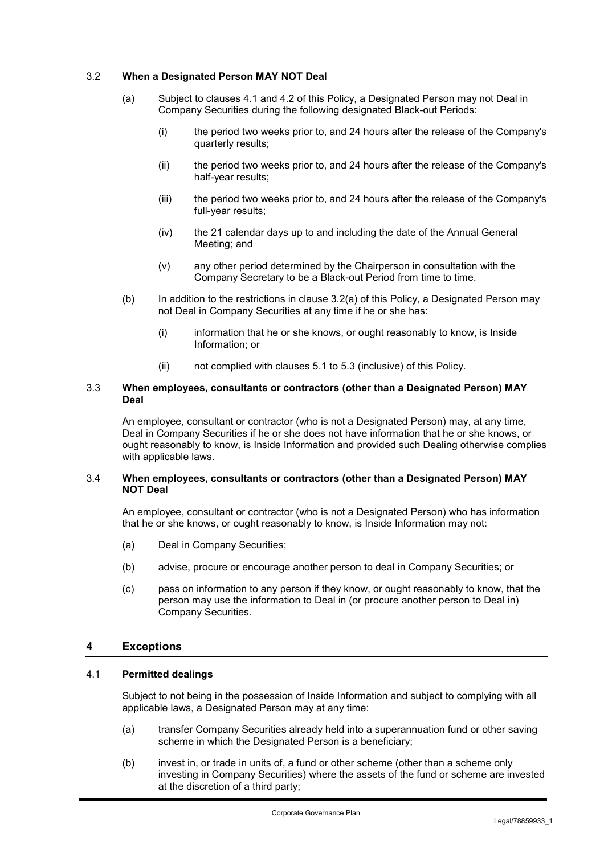## 3.2 **When a Designated Person MAY NOT Deal**

- (a) Subject to clauses 4.1 and 4.2 of this Policy, a Designated Person may not Deal in Company Securities during the following designated Black-out Periods:
	- (i) the period two weeks prior to, and 24 hours after the release of the Company's quarterly results;
	- (ii) the period two weeks prior to, and 24 hours after the release of the Company's half-year results;
	- (iii) the period two weeks prior to, and 24 hours after the release of the Company's full-year results;
	- (iv) the 21 calendar days up to and including the date of the Annual General Meeting; and
	- (v) any other period determined by the Chairperson in consultation with the Company Secretary to be a Black-out Period from time to time.
- (b) In addition to the restrictions in clause 3.2(a) of this Policy, a Designated Person may not Deal in Company Securities at any time if he or she has:
	- (i) information that he or she knows, or ought reasonably to know, is Inside Information; or
	- (ii) not complied with clauses 5.1 to 5.3 (inclusive) of this Policy.

#### 3.3 **When employees, consultants or contractors (other than a Designated Person) MAY Deal**

An employee, consultant or contractor (who is not a Designated Person) may, at any time, Deal in Company Securities if he or she does not have information that he or she knows, or ought reasonably to know, is Inside Information and provided such Dealing otherwise complies with applicable laws.

#### 3.4 **When employees, consultants or contractors (other than a Designated Person) MAY NOT Deal**

An employee, consultant or contractor (who is not a Designated Person) who has information that he or she knows, or ought reasonably to know, is Inside Information may not:

- (a) Deal in Company Securities;
- (b) advise, procure or encourage another person to deal in Company Securities; or
- (c) pass on information to any person if they know, or ought reasonably to know, that the person may use the information to Deal in (or procure another person to Deal in) Company Securities.

# **4 Exceptions**

# 4.1 **Permitted dealings**

Subject to not being in the possession of Inside Information and subject to complying with all applicable laws, a Designated Person may at any time:

- (a) transfer Company Securities already held into a superannuation fund or other saving scheme in which the Designated Person is a beneficiary;
- (b) invest in, or trade in units of, a fund or other scheme (other than a scheme only investing in Company Securities) where the assets of the fund or scheme are invested at the discretion of a third party;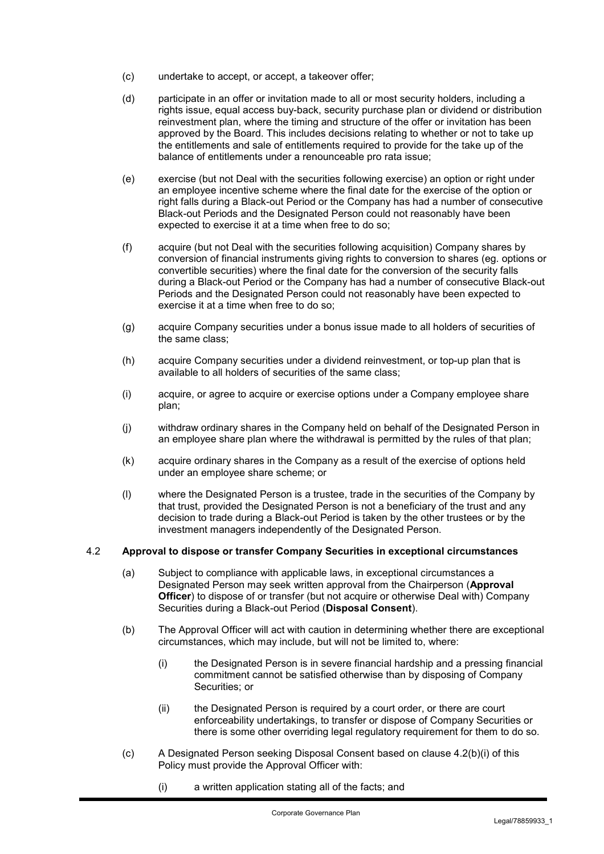- (c) undertake to accept, or accept, a takeover offer;
- (d) participate in an offer or invitation made to all or most security holders, including a rights issue, equal access buy-back, security purchase plan or dividend or distribution reinvestment plan, where the timing and structure of the offer or invitation has been approved by the Board. This includes decisions relating to whether or not to take up the entitlements and sale of entitlements required to provide for the take up of the balance of entitlements under a renounceable pro rata issue;
- (e) exercise (but not Deal with the securities following exercise) an option or right under an employee incentive scheme where the final date for the exercise of the option or right falls during a Black-out Period or the Company has had a number of consecutive Black-out Periods and the Designated Person could not reasonably have been expected to exercise it at a time when free to do so;
- (f) acquire (but not Deal with the securities following acquisition) Company shares by conversion of financial instruments giving rights to conversion to shares (eg. options or convertible securities) where the final date for the conversion of the security falls during a Black-out Period or the Company has had a number of consecutive Black-out Periods and the Designated Person could not reasonably have been expected to exercise it at a time when free to do so;
- (g) acquire Company securities under a bonus issue made to all holders of securities of the same class;
- (h) acquire Company securities under a dividend reinvestment, or top-up plan that is available to all holders of securities of the same class;
- (i) acquire, or agree to acquire or exercise options under a Company employee share plan;
- (j) withdraw ordinary shares in the Company held on behalf of the Designated Person in an employee share plan where the withdrawal is permitted by the rules of that plan;
- (k) acquire ordinary shares in the Company as a result of the exercise of options held under an employee share scheme; or
- (l) where the Designated Person is a trustee, trade in the securities of the Company by that trust, provided the Designated Person is not a beneficiary of the trust and any decision to trade during a Black-out Period is taken by the other trustees or by the investment managers independently of the Designated Person.

## 4.2 **Approval to dispose or transfer Company Securities in exceptional circumstances**

- (a) Subject to compliance with applicable laws, in exceptional circumstances a Designated Person may seek written approval from the Chairperson (**Approval Officer**) to dispose of or transfer (but not acquire or otherwise Deal with) Company Securities during a Black-out Period (**Disposal Consent**).
- (b) The Approval Officer will act with caution in determining whether there are exceptional circumstances, which may include, but will not be limited to, where:
	- (i) the Designated Person is in severe financial hardship and a pressing financial commitment cannot be satisfied otherwise than by disposing of Company Securities; or
	- (ii) the Designated Person is required by a court order, or there are court enforceability undertakings, to transfer or dispose of Company Securities or there is some other overriding legal regulatory requirement for them to do so.
- (c) A Designated Person seeking Disposal Consent based on clause 4.2(b)(i) of this Policy must provide the Approval Officer with:
	- (i) a written application stating all of the facts; and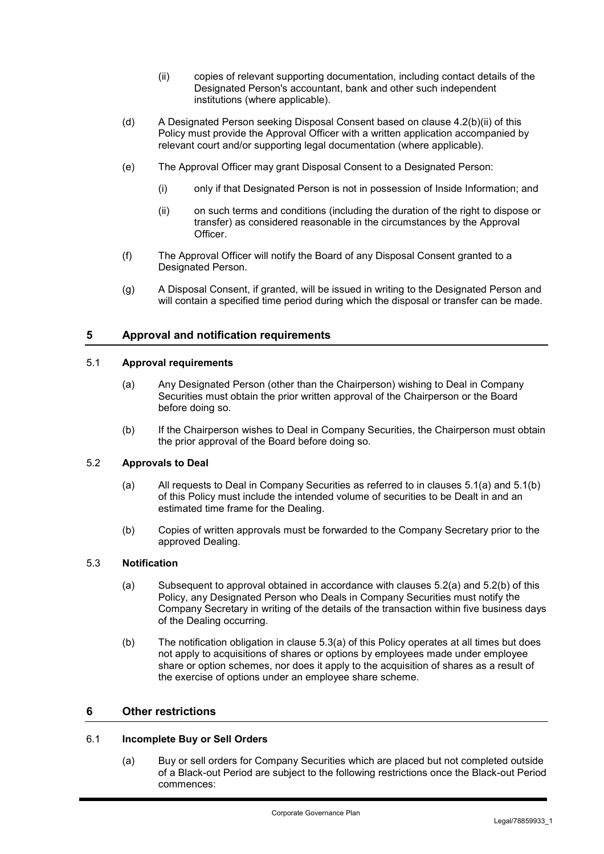- (ii) copies of relevant supporting documentation, including contact details of the Designated Person's accountant, bank and other such independent institutions (where applicable).
- (d) A Designated Person seeking Disposal Consent based on clause 4.2(b)(ii) of this Policy must provide the Approval Officer with a written application accompanied by relevant court and/or supporting legal documentation (where applicable).
- (e) The Approval Officer may grant Disposal Consent to a Designated Person:
	- (i) only if that Designated Person is not in possession of Inside Information; and
	- (ii) on such terms and conditions (including the duration of the right to dispose or transfer) as considered reasonable in the circumstances by the Approval Officer.
- (f) The Approval Officer will notify the Board of any Disposal Consent granted to a Designated Person.
- (g) A Disposal Consent, if granted, will be issued in writing to the Designated Person and will contain a specified time period during which the disposal or transfer can be made.

# **5 Approval and notification requirements**

#### 5.1 **Approval requirements**

- (a) Any Designated Person (other than the Chairperson) wishing to Deal in Company Securities must obtain the prior written approval of the Chairperson or the Board before doing so.
- (b) If the Chairperson wishes to Deal in Company Securities, the Chairperson must obtain the prior approval of the Board before doing so.

# 5.2 **Approvals to Deal**

- (a) All requests to Deal in Company Securities as referred to in clauses 5.1(a) and 5.1(b) of this Policy must include the intended volume of securities to be Dealt in and an estimated time frame for the Dealing.
- (b) Copies of written approvals must be forwarded to the Company Secretary prior to the approved Dealing.

## 5.3 **Notification**

- (a) Subsequent to approval obtained in accordance with clauses 5.2(a) and 5.2(b) of this Policy, any Designated Person who Deals in Company Securities must notify the Company Secretary in writing of the details of the transaction within five business days of the Dealing occurring.
- (b) The notification obligation in clause 5.3(a) of this Policy operates at all times but does not apply to acquisitions of shares or options by employees made under employee share or option schemes, nor does it apply to the acquisition of shares as a result of the exercise of options under an employee share scheme.

## **6 Other restrictions**

## 6.1 **Incomplete Buy or Sell Orders**

(a) Buy or sell orders for Company Securities which are placed but not completed outside of a Black-out Period are subject to the following restrictions once the Black-out Period commences: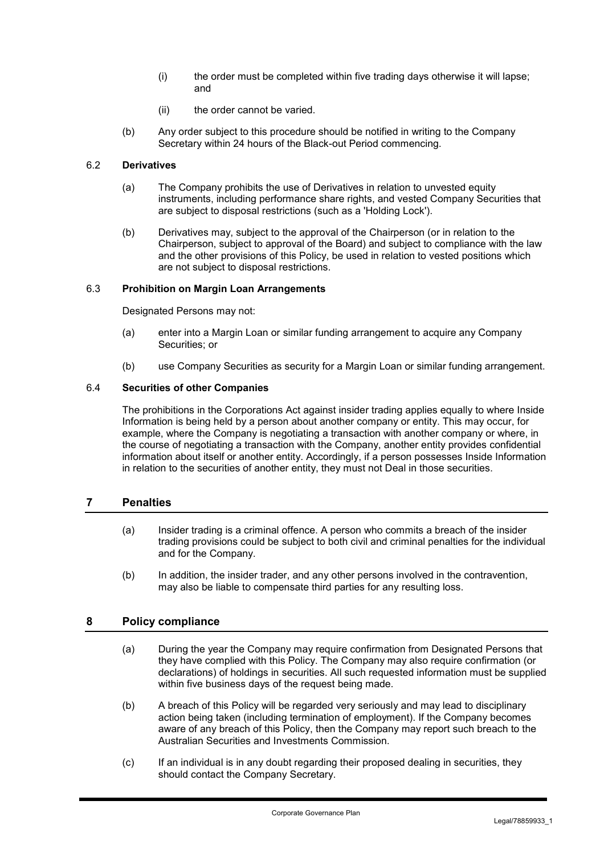- (i) the order must be completed within five trading days otherwise it will lapse; and
- (ii) the order cannot be varied.
- (b) Any order subject to this procedure should be notified in writing to the Company Secretary within 24 hours of the Black-out Period commencing.

#### 6.2 **Derivatives**

- (a) The Company prohibits the use of Derivatives in relation to unvested equity instruments, including performance share rights, and vested Company Securities that are subject to disposal restrictions (such as a 'Holding Lock').
- (b) Derivatives may, subject to the approval of the Chairperson (or in relation to the Chairperson, subject to approval of the Board) and subject to compliance with the law and the other provisions of this Policy, be used in relation to vested positions which are not subject to disposal restrictions.

#### 6.3 **Prohibition on Margin Loan Arrangements**

Designated Persons may not:

- (a) enter into a Margin Loan or similar funding arrangement to acquire any Company Securities; or
- (b) use Company Securities as security for a Margin Loan or similar funding arrangement.

#### 6.4 **Securities of other Companies**

The prohibitions in the Corporations Act against insider trading applies equally to where Inside Information is being held by a person about another company or entity. This may occur, for example, where the Company is negotiating a transaction with another company or where, in the course of negotiating a transaction with the Company, another entity provides confidential information about itself or another entity. Accordingly, if a person possesses Inside Information in relation to the securities of another entity, they must not Deal in those securities.

#### **7 Penalties**

- (a) Insider trading is a criminal offence. A person who commits a breach of the insider trading provisions could be subject to both civil and criminal penalties for the individual and for the Company.
- (b) In addition, the insider trader, and any other persons involved in the contravention, may also be liable to compensate third parties for any resulting loss.

## **8 Policy compliance**

- (a) During the year the Company may require confirmation from Designated Persons that they have complied with this Policy. The Company may also require confirmation (or declarations) of holdings in securities. All such requested information must be supplied within five business days of the request being made.
- (b) A breach of this Policy will be regarded very seriously and may lead to disciplinary action being taken (including termination of employment). If the Company becomes aware of any breach of this Policy, then the Company may report such breach to the Australian Securities and Investments Commission.
- (c) If an individual is in any doubt regarding their proposed dealing in securities, they should contact the Company Secretary.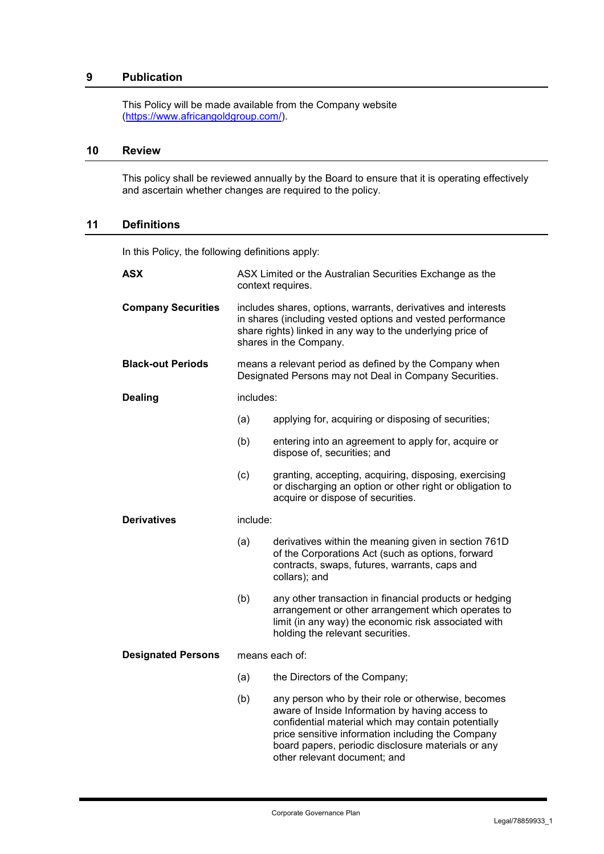# **9 Publication**

This Policy will be made available from the Company website (https://www.africangoldgroup.com/).

# **10 Review**

This policy shall be reviewed annually by the Board to ensure that it is operating effectively and ascertain whether changes are required to the policy.

## **11 Definitions**

In this Policy, the following definitions apply:

| <b>ASX</b>                | ASX Limited or the Australian Securities Exchange as the<br>context requires.                                                                                                                                       |                                                                                                                                                                                                                                                                                                         |  |
|---------------------------|---------------------------------------------------------------------------------------------------------------------------------------------------------------------------------------------------------------------|---------------------------------------------------------------------------------------------------------------------------------------------------------------------------------------------------------------------------------------------------------------------------------------------------------|--|
| <b>Company Securities</b> | includes shares, options, warrants, derivatives and interests<br>in shares (including vested options and vested performance<br>share rights) linked in any way to the underlying price of<br>shares in the Company. |                                                                                                                                                                                                                                                                                                         |  |
| <b>Black-out Periods</b>  | means a relevant period as defined by the Company when<br>Designated Persons may not Deal in Company Securities.                                                                                                    |                                                                                                                                                                                                                                                                                                         |  |
| <b>Dealing</b>            | includes:                                                                                                                                                                                                           |                                                                                                                                                                                                                                                                                                         |  |
|                           | (a)                                                                                                                                                                                                                 | applying for, acquiring or disposing of securities;                                                                                                                                                                                                                                                     |  |
|                           | (b)                                                                                                                                                                                                                 | entering into an agreement to apply for, acquire or<br>dispose of, securities; and                                                                                                                                                                                                                      |  |
|                           | (c)                                                                                                                                                                                                                 | granting, accepting, acquiring, disposing, exercising<br>or discharging an option or other right or obligation to<br>acquire or dispose of securities.                                                                                                                                                  |  |
| <b>Derivatives</b>        | include:                                                                                                                                                                                                            |                                                                                                                                                                                                                                                                                                         |  |
|                           | (a)                                                                                                                                                                                                                 | derivatives within the meaning given in section 761D<br>of the Corporations Act (such as options, forward<br>contracts, swaps, futures, warrants, caps and<br>collars); and                                                                                                                             |  |
|                           | (b)                                                                                                                                                                                                                 | any other transaction in financial products or hedging<br>arrangement or other arrangement which operates to<br>limit (in any way) the economic risk associated with<br>holding the relevant securities.                                                                                                |  |
| <b>Designated Persons</b> | means each of:                                                                                                                                                                                                      |                                                                                                                                                                                                                                                                                                         |  |
|                           | (a)                                                                                                                                                                                                                 | the Directors of the Company;                                                                                                                                                                                                                                                                           |  |
|                           | (b)                                                                                                                                                                                                                 | any person who by their role or otherwise, becomes<br>aware of Inside Information by having access to<br>confidential material which may contain potentially<br>price sensitive information including the Company<br>board papers, periodic disclosure materials or any<br>other relevant document; and |  |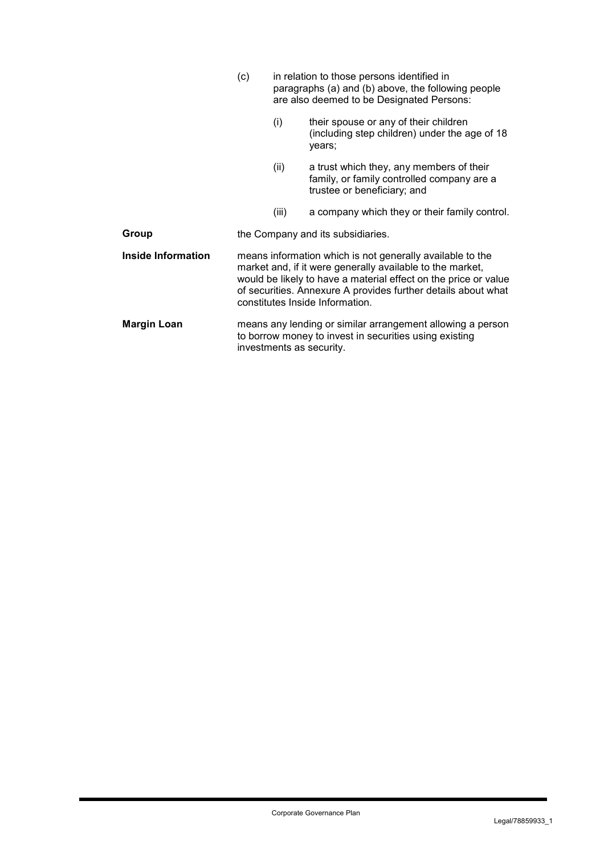|                           | (c)                                                                                                                                                                                                                                                                                           | in relation to those persons identified in<br>paragraphs (a) and (b) above, the following people<br>are also deemed to be Designated Persons: |                                                                                                                       |  |
|---------------------------|-----------------------------------------------------------------------------------------------------------------------------------------------------------------------------------------------------------------------------------------------------------------------------------------------|-----------------------------------------------------------------------------------------------------------------------------------------------|-----------------------------------------------------------------------------------------------------------------------|--|
|                           |                                                                                                                                                                                                                                                                                               | (i)                                                                                                                                           | their spouse or any of their children<br>(including step children) under the age of 18<br>years;                      |  |
|                           |                                                                                                                                                                                                                                                                                               | (ii)                                                                                                                                          | a trust which they, any members of their<br>family, or family controlled company are a<br>trustee or beneficiary; and |  |
|                           |                                                                                                                                                                                                                                                                                               | (iii)                                                                                                                                         | a company which they or their family control.                                                                         |  |
| Group                     | the Company and its subsidiaries.                                                                                                                                                                                                                                                             |                                                                                                                                               |                                                                                                                       |  |
| <b>Inside Information</b> | means information which is not generally available to the<br>market and, if it were generally available to the market,<br>would be likely to have a material effect on the price or value<br>of securities. Annexure A provides further details about what<br>constitutes Inside Information. |                                                                                                                                               |                                                                                                                       |  |
| <b>Margin Loan</b>        | means any lending or similar arrangement allowing a person<br>to borrow money to invest in securities using existing<br>investments as security.                                                                                                                                              |                                                                                                                                               |                                                                                                                       |  |